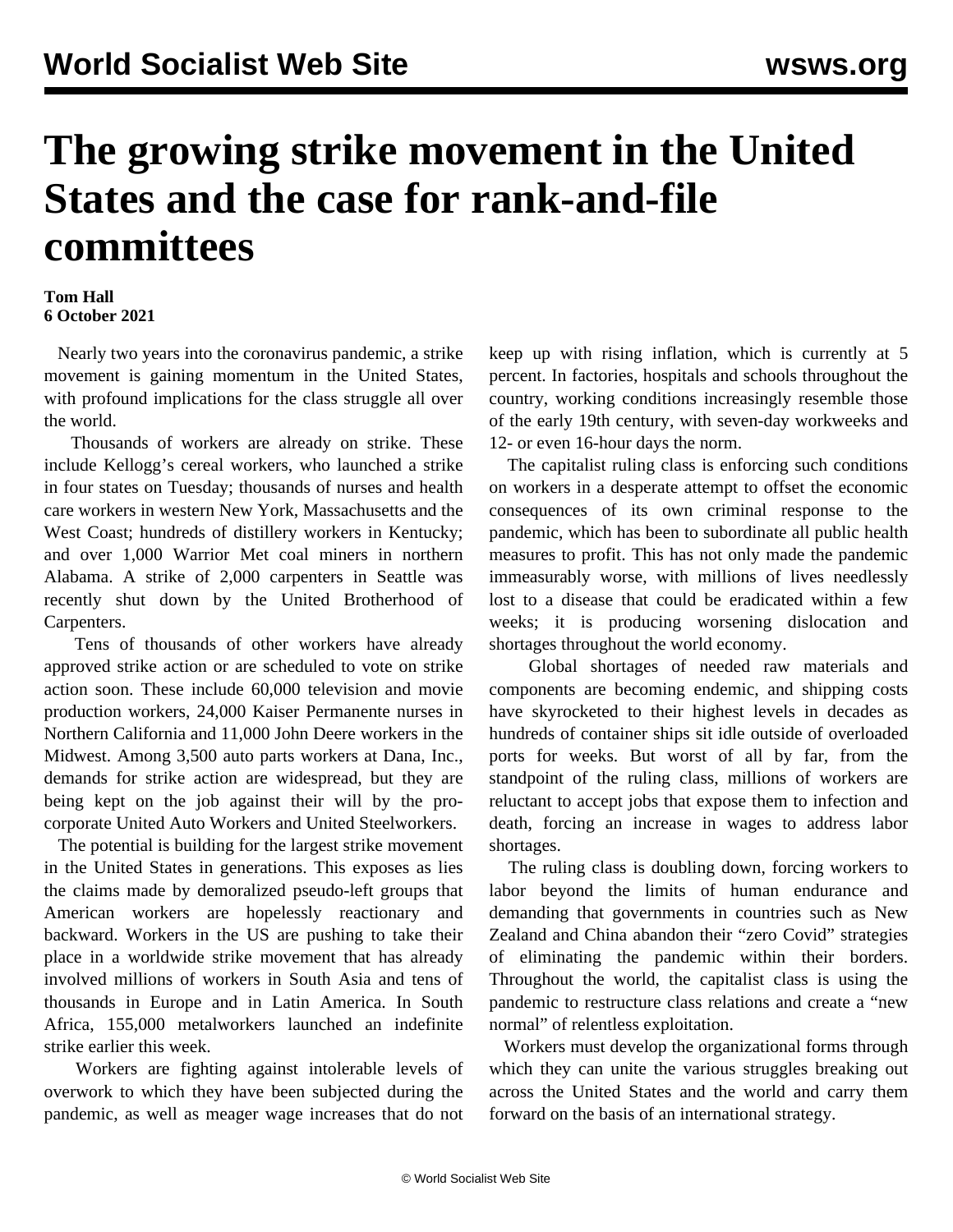## **The growing strike movement in the United States and the case for rank-and-file committees**

## **Tom Hall 6 October 2021**

 Nearly two years into the coronavirus pandemic, a strike movement is gaining momentum in the United States, with profound implications for the class struggle all over the world.

 Thousands of workers are already on strike. These include Kellogg's cereal workers, who launched a strike in four states on Tuesday; thousands of nurses and health care workers in western New York, Massachusetts and the West Coast; hundreds of distillery workers in Kentucky; and over 1,000 Warrior Met coal miners in northern Alabama. A strike of 2,000 carpenters in Seattle was recently shut down by the United Brotherhood of Carpenters.

 Tens of thousands of other workers have already approved strike action or are scheduled to vote on strike action soon. These include 60,000 television and movie production workers, 24,000 Kaiser Permanente nurses in Northern California and 11,000 John Deere workers in the Midwest. Among 3,500 auto parts workers at Dana, Inc., demands for strike action are widespread, but they are being kept on the job against their will by the procorporate United Auto Workers and United Steelworkers.

 The potential is building for the largest strike movement in the United States in generations. This exposes as lies the claims made by demoralized pseudo-left groups that American workers are hopelessly reactionary and backward. Workers in the US are pushing to take their place in a worldwide strike movement that has already involved millions of workers in South Asia and tens of thousands in Europe and in Latin America. In South Africa, 155,000 metalworkers launched an indefinite strike earlier this week.

 Workers are fighting against intolerable levels of overwork to which they have been subjected during the pandemic, as well as meager wage increases that do not

keep up with rising inflation, which is currently at 5 percent. In factories, hospitals and schools throughout the country, working conditions increasingly resemble those of the early 19th century, with seven-day workweeks and 12- or even 16-hour days the norm.

 The capitalist ruling class is enforcing such conditions on workers in a desperate attempt to offset the economic consequences of its own criminal response to the pandemic, which has been to subordinate all public health measures to profit. This has not only made the pandemic immeasurably worse, with millions of lives needlessly lost to a disease that could be eradicated within a few weeks; it is producing worsening dislocation and shortages throughout the world economy.

 Global shortages of needed raw materials and components are becoming endemic, and shipping costs have skyrocketed to their highest levels in decades as hundreds of container ships sit idle outside of overloaded ports for weeks. But worst of all by far, from the standpoint of the ruling class, millions of workers are reluctant to accept jobs that expose them to infection and death, forcing an increase in wages to address labor shortages.

 The ruling class is doubling down, forcing workers to labor beyond the limits of human endurance and demanding that governments in countries such as New Zealand and China abandon their "zero Covid" strategies of eliminating the pandemic within their borders. Throughout the world, the capitalist class is using the pandemic to restructure class relations and create a "new normal" of relentless exploitation.

 Workers must develop the organizational forms through which they can unite the various struggles breaking out across the United States and the world and carry them forward on the basis of an international strategy.